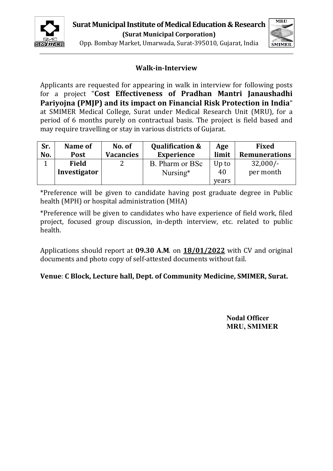



Opp. Bombay Market, Umarwada, Surat-395010, Gujarat, India

# **Walk-in-Interview**

Applicants are requested for appearing in walk in interview for following posts for a project "**Cost Effectiveness of Pradhan Mantri Janaushadhi Pariyojna (PMJP) and its impact on Financial Risk Protection in India**" at SMIMER Medical College, Surat under Medical Research Unit (MRU), for a period of 6 months purely on contractual basis. The project is field based and may require travelling or stay in various districts of Gujarat.

| Sr.<br>No. | Name of<br><b>Post</b> | No. of<br><b>Vacancies</b> | <b>Qualification &amp;</b><br><b>Experience</b> | Age<br>limit | <b>Fixed</b><br><b>Remunerations</b> |
|------------|------------------------|----------------------------|-------------------------------------------------|--------------|--------------------------------------|
|            | <b>Field</b>           | ำ                          | B. Pharm or BSc                                 | Up to        | $32,000/-$                           |
|            | Investigator           |                            | Nursing*                                        | 40           | per month                            |
|            |                        |                            |                                                 | years        |                                      |

\*Preference will be given to candidate having post graduate degree in Public health (MPH) or hospital administration (MHA)

\*Preference will be given to candidates who have experience of field work, filed project, focused group discussion, in-depth interview, etc. related to public health.

Applications should report at **09.30 A.M**. on **18/01/2022** with CV and original documents and photo copy of self-attested documents without fail.

## **Venue**: **C Block, Lecture hall, Dept. of Community Medicine, SMIMER, Surat.**

**Nodal Officer MRU, SMIMER**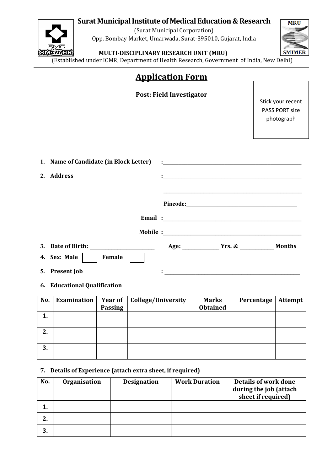# **Surat Municipal Institute of Medical Education & Research**



(Surat Municipal Corporation) Opp. Bombay Market, Umarwada, Surat-395010, Gujarat, India



## **MEER** MULTI-DISCIPLINARY RESEARCH UNIT (MRU)

(Established under ICMR, Department of Health Research, Government of India, New Delhi)

|                                                      |        |                    | <b>Application Form</b>  |                                                                                                                                                                                                                                      |                      |                                                          |
|------------------------------------------------------|--------|--------------------|--------------------------|--------------------------------------------------------------------------------------------------------------------------------------------------------------------------------------------------------------------------------------|----------------------|----------------------------------------------------------|
|                                                      |        |                    | Post: Field Investigator |                                                                                                                                                                                                                                      |                      | Stick your recent<br><b>PASS PORT size</b><br>photograph |
| 1. Name of Candidate (in Block Letter)<br>2. Address |        |                    |                          | <u> 1989 - Johann John Barn, mars an t-Amerikaansk politiker (</u>                                                                                                                                                                   |                      |                                                          |
|                                                      |        |                    |                          | Email: <u>contract and contract and contract and contract and contract and contract and contract and contract and contract and contract and contract and contract and contract and contract and contract and contract and contra</u> |                      |                                                          |
|                                                      |        |                    |                          |                                                                                                                                                                                                                                      |                      |                                                          |
| 3. Date of Birth:<br>4. Sex: Male                    | Female |                    |                          | Age: Vrs. & Months                                                                                                                                                                                                                   |                      |                                                          |
| 5. Present Job                                       |        |                    |                          |                                                                                                                                                                                                                                      |                      |                                                          |
| 6. Educational Qualification                         |        |                    |                          |                                                                                                                                                                                                                                      |                      |                                                          |
| No.   Examination   Year of                          |        | College/University |                          | <b>Marks</b>                                                                                                                                                                                                                         | Percentage   Attempt |                                                          |

| No. | Examination |                | Year of   College/University | <b>Marks</b>    | Percentage | Attempt |
|-----|-------------|----------------|------------------------------|-----------------|------------|---------|
|     |             | <b>Passing</b> |                              | <b>Obtained</b> |            |         |
| 1.  |             |                |                              |                 |            |         |
|     |             |                |                              |                 |            |         |
| 2.  |             |                |                              |                 |            |         |
|     |             |                |                              |                 |            |         |
| 3.  |             |                |                              |                 |            |         |
|     |             |                |                              |                 |            |         |

#### **7. Details of Experience (attach extra sheet, if required)**

| No. | Organisation | <b>Designation</b> | <b>Work Duration</b> | Details of work done<br>during the job (attach<br>sheet if required) |
|-----|--------------|--------------------|----------------------|----------------------------------------------------------------------|
| ı.  |              |                    |                      |                                                                      |
| 2.  |              |                    |                      |                                                                      |
| 3.  |              |                    |                      |                                                                      |